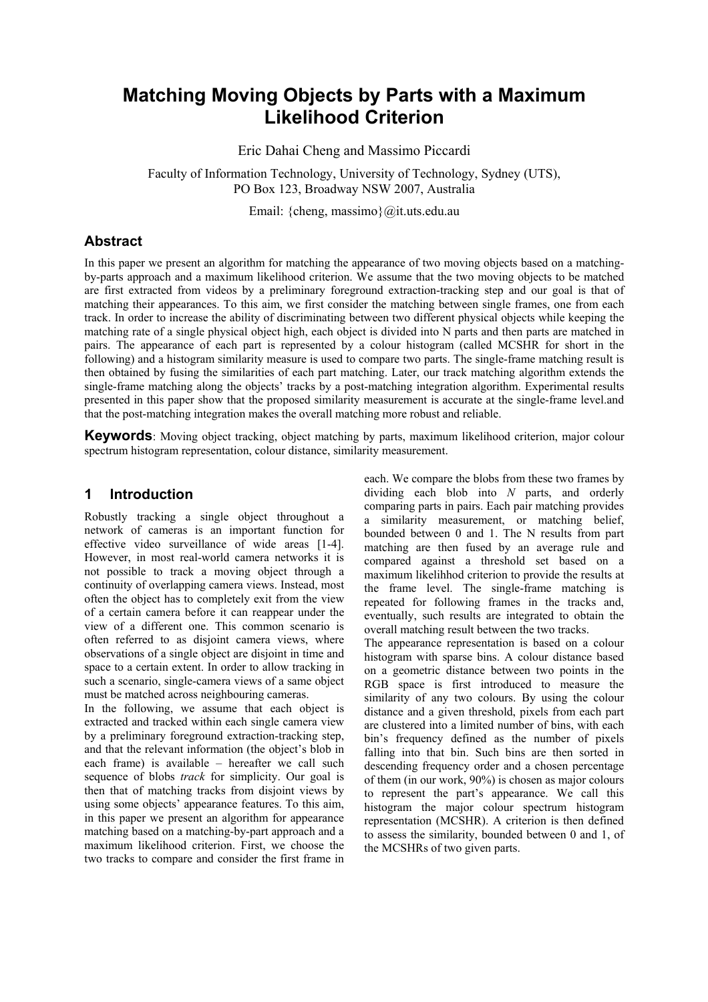# **Matching Moving Objects by Parts with a Maximum Likelihood Criterion**

Eric Dahai Cheng and Massimo Piccardi

Faculty of Information Technology, University of Technology, Sydney (UTS), PO Box 123, Broadway NSW 2007, Australia

Email: {cheng, massimo}@it.uts.edu.au

# **Abstract**

In this paper we present an algorithm for matching the appearance of two moving objects based on a matchingby-parts approach and a maximum likelihood criterion. We assume that the two moving objects to be matched are first extracted from videos by a preliminary foreground extraction-tracking step and our goal is that of matching their appearances. To this aim, we first consider the matching between single frames, one from each track. In order to increase the ability of discriminating between two different physical objects while keeping the matching rate of a single physical object high, each object is divided into N parts and then parts are matched in pairs. The appearance of each part is represented by a colour histogram (called MCSHR for short in the following) and a histogram similarity measure is used to compare two parts. The single-frame matching result is then obtained by fusing the similarities of each part matching. Later, our track matching algorithm extends the single-frame matching along the objects' tracks by a post-matching integration algorithm. Experimental results presented in this paper show that the proposed similarity measurement is accurate at the single-frame level.and that the post-matching integration makes the overall matching more robust and reliable.

**Keywords**: Moving object tracking, object matching by parts, maximum likelihood criterion, major colour spectrum histogram representation, colour distance, similarity measurement.

#### **1 Introduction**

Robustly tracking a single object throughout a network of cameras is an important function for effective video surveillance of wide areas [1-4]. However, in most real-world camera networks it is not possible to track a moving object through a continuity of overlapping camera views. Instead, most often the object has to completely exit from the view of a certain camera before it can reappear under the view of a different one. This common scenario is often referred to as disjoint camera views, where observations of a single object are disjoint in time and space to a certain extent. In order to allow tracking in such a scenario, single-camera views of a same object must be matched across neighbouring cameras.

In the following, we assume that each object is extracted and tracked within each single camera view by a preliminary foreground extraction-tracking step, and that the relevant information (the object's blob in each frame) is available – hereafter we call such sequence of blobs *track* for simplicity. Our goal is then that of matching tracks from disjoint views by using some objects' appearance features. To this aim, in this paper we present an algorithm for appearance matching based on a matching-by-part approach and a maximum likelihood criterion. First, we choose the two tracks to compare and consider the first frame in each. We compare the blobs from these two frames by dividing each blob into *N* parts, and orderly comparing parts in pairs. Each pair matching provides a similarity measurement, or matching belief, bounded between 0 and 1. The N results from part matching are then fused by an average rule and compared against a threshold set based on a maximum likelihhod criterion to provide the results at the frame level. The single-frame matching is repeated for following frames in the tracks and, eventually, such results are integrated to obtain the overall matching result between the two tracks.

The appearance representation is based on a colour histogram with sparse bins. A colour distance based on a geometric distance between two points in the RGB space is first introduced to measure the similarity of any two colours. By using the colour distance and a given threshold, pixels from each part are clustered into a limited number of bins, with each bin's frequency defined as the number of pixels falling into that bin. Such bins are then sorted in descending frequency order and a chosen percentage of them (in our work, 90%) is chosen as major colours to represent the part's appearance. We call this histogram the major colour spectrum histogram representation (MCSHR). A criterion is then defined to assess the similarity, bounded between 0 and 1, of the MCSHRs of two given parts.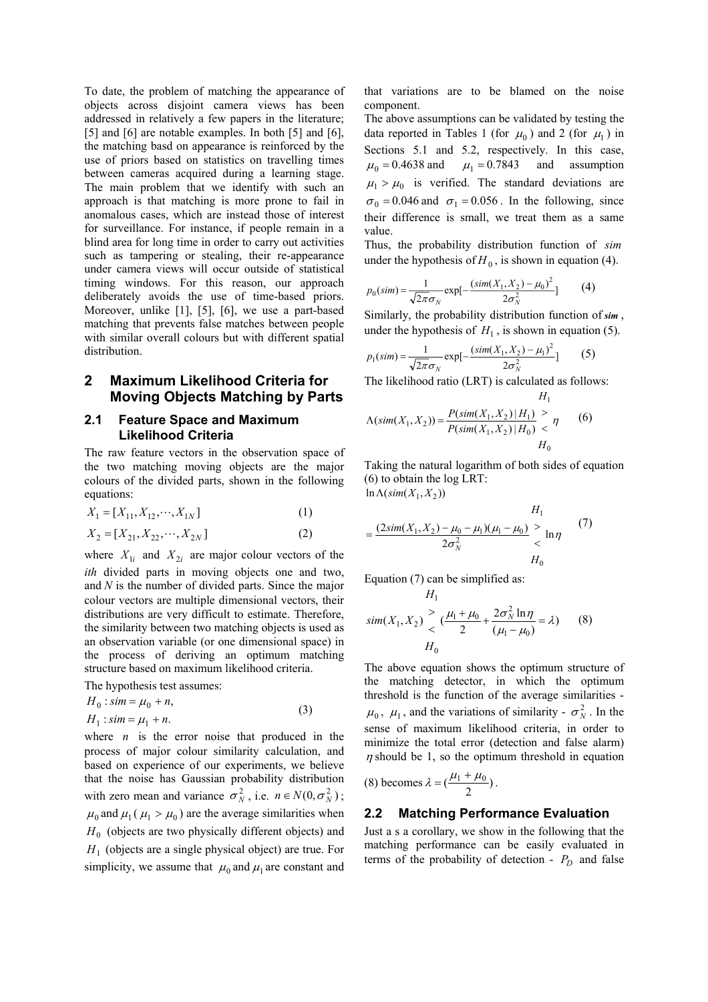To date, the problem of matching the appearance of objects across disjoint camera views has been addressed in relatively a few papers in the literature; [5] and [6] are notable examples. In both [5] and [6], the matching basd on appearance is reinforced by the use of priors based on statistics on travelling times between cameras acquired during a learning stage. The main problem that we identify with such an approach is that matching is more prone to fail in anomalous cases, which are instead those of interest for surveillance. For instance, if people remain in a blind area for long time in order to carry out activities such as tampering or stealing, their re-appearance under camera views will occur outside of statistical timing windows. For this reason, our approach deliberately avoids the use of time-based priors. Moreover, unlike [1], [5], [6], we use a part-based matching that prevents false matches between people with similar overall colours but with different spatial distribution.

## **2 Maximum Likelihood Criteria for Moving Objects Matching by Parts**

#### **2.1 Feature Space and Maximum Likelihood Criteria**

The raw feature vectors in the observation space of the two matching moving objects are the major colours of the divided parts, shown in the following equations:

$$
X_1 = [X_{11}, X_{12}, \cdots, X_{1N}] \tag{1}
$$

$$
X_2 = [X_{21}, X_{22}, \cdots, X_{2N}] \tag{2}
$$

where  $X_{1i}$  and  $X_{2i}$  are major colour vectors of the *ith* divided parts in moving objects one and two, and  $N$  is the number of divided parts. Since the major colour vectors are multiple dimensional vectors, their distributions are very difficult to estimate. Therefore, the similarity between two matching objects is used as an observation variable (or one dimensional space) in the process of deriving an optimum matching structure based on maximum likelihood criteria.

The hypothesis test assumes:

$$
H_0: \sin = \mu_0 + n,
$$
  
\n
$$
H_1: \sin = \mu_1 + n.
$$
\n(3)

where  $n$  is the error noise that produced in the process of major colour similarity calculation, and based on experience of our experiments, we believe that the noise has Gaussian probability distribution with zero mean and variance  $\sigma_N^2$ , i.e.  $n \in N(0, \sigma_N^2)$ ;  $\mu_0$  and  $\mu_1$  ( $\mu_1 > \mu_0$ ) are the average similarities when (objects are two physically different objects) and *H*0  $H<sub>1</sub>$  (objects are a single physical object) are true. For simplicity, we assume that  $\mu_0$  and  $\mu_1$  are constant and that variations are to be blamed on the noise component.

The above assumptions can be validated by testing the data reported in Tables 1 (for  $\mu_0$ ) and 2 (for  $\mu_1$ ) in Sections 5.1 and 5.2, respectively. In this case,  $\mu_0 = 0.4638$  and  $\mu_1 = 0.7843$  and assumption  $\mu_1 > \mu_0$  is verified. The standard deviations are  $\sigma_0 = 0.046$  and  $\sigma_1 = 0.056$ . In the following, since their difference is small, we treat them as a same value.

Thus, the probability distribution function of *sim* under the hypothesis of  $H_0$ , is shown in equation (4).

$$
p_0(sim) = \frac{1}{\sqrt{2\pi}\sigma_N} \exp[-\frac{(sim(X_1, X_2) - \mu_0)^2}{2\sigma_N^2}]
$$
 (4)

Similarly, the probability distribution function of  $sim$ , under the hypothesis of  $H_1$ , is shown in equation (5).

$$
p_1(\text{sim}) = \frac{1}{\sqrt{2\pi}\sigma_N} \exp[-\frac{(\text{sim}(X_1, X_2) - \mu_1)^2}{2\sigma_N^2}] \tag{5}
$$

The likelihood ratio (LRT) is calculated as follows:

$$
H_1
$$
  
 
$$
\Lambda(\text{sim}(X_1, X_2)) = \frac{P(\text{sim}(X_1, X_2) | H_1)}{P(\text{sim}(X_1, X_2) | H_0)} \ge \eta \qquad (6)
$$
  
 
$$
H_0
$$

Taking the natural logarithm of both sides of equation (6) to obtain the log LRT:  $\ln \Lambda(\textit{sim}(X_1, X_2))$ 

$$
H_1
$$
  
= 
$$
\frac{(2\sin(X_1, X_2) - \mu_0 - \mu_1)(\mu_1 - \mu_0)}{2\sigma_N^2} \ge \ln \eta
$$
 (7)  

$$
H_0
$$

Equation (7) can be simplified as:

 $H_1$ 

$$
\frac{\sin(X_1, X_2)}{X_1} < \frac{(\frac{\mu_1 + \mu_0}{2} + \frac{2\sigma_N^2 \ln \eta}{(\mu_1 - \mu_0)} = \lambda)}{H_0} \tag{8}
$$

The above equation shows the optimum structure of the matching detector, in which the optimum threshold is the function of the average similarities -  $\mu_0$ ,  $\mu_1$ , and the variations of similarity -  $\sigma_N^2$ . In the sense of maximum likelihood criteria, in order to minimize the total error (detection and false alarm)  $\eta$  should be 1, so the optimum threshold in equation

(8) becomes 
$$
\lambda = \left(\frac{\mu_1 + \mu_0}{2}\right)
$$
.

#### **2.2 Matching Performance Evaluation**

Just a s a corollary, we show in the following that the matching performance can be easily evaluated in terms of the probability of detection -  $P_D$  and false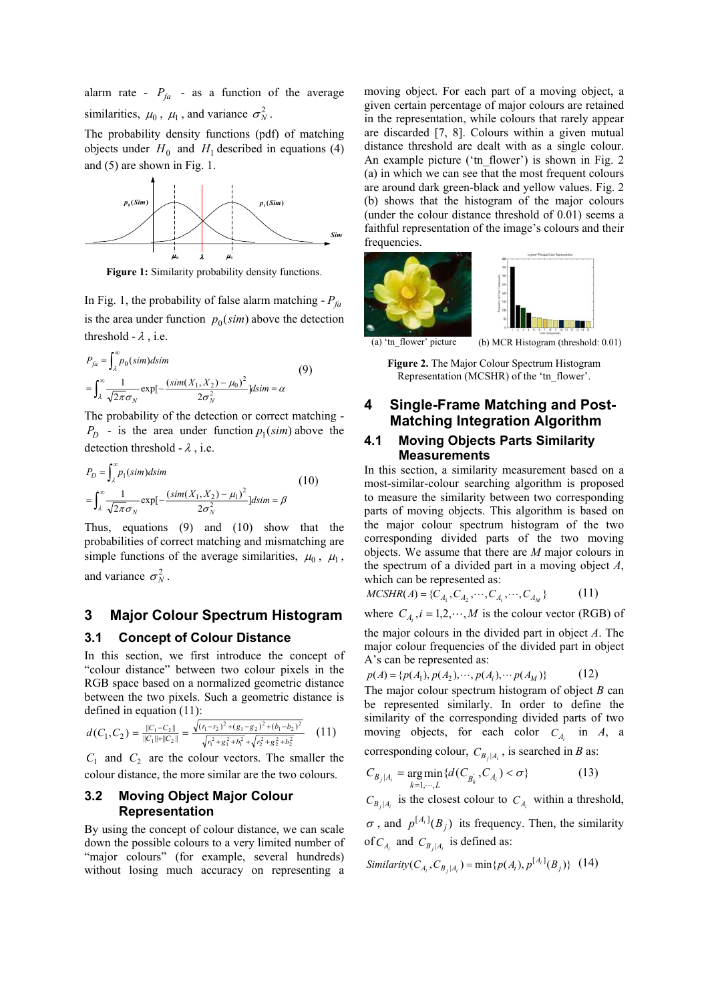alarm rate -  $P_{fa}$  - as a function of the average similarities,  $\mu_0$ ,  $\mu_1$ , and variance  $\sigma_N^2$ .

objects under  $H_0$  and  $H_1$  described in equations (4) The probability density functions (pdf) of matching and (5) are shown in Fig. 1.



**Figure 1:** Similarity probability density functions.

In Fig. 1, the probability of false alarm matching - *Pfa* is the area under function  $p_0$ (sim) above the detection threshold  $-\lambda$ , i.e.

$$
P_{fa} = \int_{\lambda}^{\infty} p_0(\sin\theta) d\sin\theta
$$
  
= 
$$
\int_{\lambda}^{\infty} \frac{1}{\sqrt{2\pi}\sigma_N} \exp[-\frac{(\sin(X_1, X_2) - \mu_0)^2}{2\sigma_N^2}] d\sin\theta = \alpha
$$
 (9)

 $P_D$  - is the area under function  $p_1(\text{sim})$  above the The probability of the detection or correct matching detection threshold  $-\lambda$ , i.e.

$$
P_D = \int_{\lambda}^{\infty} p_1(\sin)\,d\sin\theta
$$
\n
$$
= \int_{\lambda}^{\infty} \frac{1}{\sqrt{2\pi}\sigma_N} \exp\left[-\frac{(\sin(X_1, X_2) - \mu_1)^2}{2\sigma_N^2}\right] d\sin\theta = \beta
$$
\n(10)

Thus, equations (9) and (10) show that the probabilities of correct matching and mismatching are simple functions of the average similarities,  $\mu_0$ ,  $\mu_1$ , and variance  $\sigma_N^2$ .

#### **3 Major Colour Spectrum Histogram**

#### **3.1 Concept of Colour Distance**

In this section, we first introduce the concept of "colour distance" between two colour pixels in the RGB space based on a normalized geometric distance between the two pixels. Such a geometric distance is defined in equation (11):

$$
d(C_1, C_2) = \frac{||C_1 - C_2||}{||C_1|| + ||C_2||} = \frac{\sqrt{(r_1 - r_2)^2 + (g_1 - g_2)^2 + (b_1 - b_2)^2}}{\sqrt{r_1^2 + g_1^2 + b_1^2} + \sqrt{r_2^2 + g_2^2 + b_2^2}} \quad (11)
$$

 $C_1$  and  $C_2$  are the colour vectors. The smaller the colour distance, the more similar are the two colours.

#### **3.2 Moving Object Major Colour Representation**

By using the concept of colour distance, we can scale down the possible colours to a very limited number of "major colours" (for example, several hundreds) without losing much accuracy on representing a

moving object. For each part of a moving object, a given certain percentage of major colours are retained in the representation, while colours that rarely appear are discarded [7, 8]. Colours within a given mutual distance threshold are dealt with as a single colour. An example picture ('tn\_flower') is shown in Fig. 2 (a) in which we can see that the most frequent colours are around dark green-black and yellow values. Fig. 2 (b) shows that the histogram of the major colours (under the colour distance threshold of 0.01) seems a faithful representation of the image's colours and their frequencies.



(a) 'tn\_flower' picture (b) MCR Histogram (threshold: 0.01)

**Figure 2.** The Major Colour Spectrum Histogram Representation (MCSHR) of the 'tn\_flower'.

# **4 Single-Frame Matching and Post-Matching Integration Algorithm**

#### **4.1 Moving Objects Parts Similarity Measurements**

In this section, a similarity measurement based on a most-similar-colour searching algorithm is proposed to measure the similarity between two corresponding parts of moving objects. This algorithm is based on the major colour spectrum histogram of the two corresponding divided parts of the two moving objects. We assume that there are *M* major colours in the spectrum of a divided part in a moving object *A*, which can be represented as:

$$
MCSHR(A) = \{C_{A_1}, C_{A_2}, \cdots, C_{A_i}, \cdots, C_{A_M}\}
$$
 (11)

where  $C_{A_i}$ ,  $i = 1, 2, \dots, M$  is the colour vector (RGB) of the major colours in the divided part in object *A*. The

major colour frequencies of the divided part in object A's can be represented as:

$$
p(A) = \{p(A_1), p(A_2), \cdots, p(A_i), \cdots p(A_M)\}\tag{12}
$$

The major colour spectrum histogram of object *B* can be represented similarly. In order to define the similarity of the corresponding divided parts of two moving objects, for each color  $C_{A_i}$  in  $A$ , a

corresponding colour,  $C_{B_j|A_i}$ , is searched in *B* as:

$$
C_{B_j|A_i} = \underset{k=1,\cdots,L}{\arg\min} \{ d(C_{B_k^i}, C_{A_i}) < \sigma \} \tag{13}
$$

 $C_{B, |A|}$  is the closest colour to  $C_A$  within a threshold,

 $\sigma$ , and  $p^{[A_i]}(B_j)$  its frequency. Then, the similarity of  $C_{A_i}$  and  $C_{B_j|A_i}$  is defined as:

*Similarity*(
$$
C_{A_i}
$$
,  $C_{B_j|A_i}$ ) = min{ $p(A_i)$ ,  $p^{[A_i]}(B_j)$ } (14)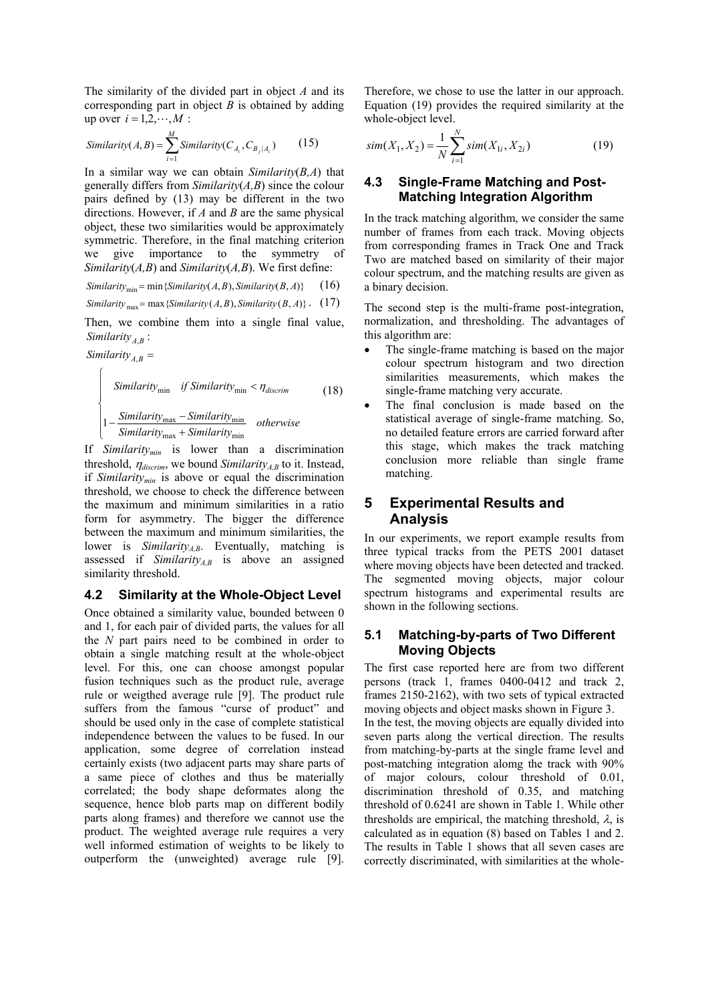The similarity of the divided part in object *A* and its corresponding part in object *B* is obtained by adding up over  $i = 1, 2, \dots, M$ :

Similarly, 
$$
(\mathbf{A}, \mathbf{B}) = \sum_{i=1}^{M} Similarity(C_{\mathbf{A}_i}, C_{\mathbf{B}_j|\mathbf{A}_i})
$$
 (15)

In a similar way we can obtain *Similarity*(*B,A*) that generally differs from *Similarity*(*A,B*) since the colour pairs defined by (13) may be different in the two directions. However, if *A* and *B* are the same physical object, these two similarities would be approximately symmetric. Therefore, in the final matching criterion we give importance to the symmetry of *Similarity*(*A,B*) and *Similarity*(*A,B*). We first define:

Similarly<sub>min</sub> = min {*Similarity*(
$$
A, B
$$
), *Similarity*( $B, A$ )} (16)

*Similarity* max<sup>=</sup> max{*Similarity* (*A*, *<sup>B</sup>*), *Similarity* (*B*, *<sup>A</sup>*)} . (17)

Then, we combine them into a single final value, *Similarity*<sub> $AB$ </sub>:

 $Similarity$ <sub>*A,B*</sub> =

 $\epsilon$ 

Similarly,  
\n
$$
\begin{cases}\n\text{Similarity}_{\text{min}} & \text{if } \text{Similarity}_{\text{min}} < \eta_{\text{discrim}} \\
1 - \frac{\text{Similarity}_{\text{max}} - \text{Similarity}_{\text{min}}}{\text{Similarity}_{\text{max}} + \text{Similarity}_{\text{min}}} & \text{otherwise}\n\end{cases}
$$
\n(18)

If *Similaritymin* is lower than a discrimination threshold,  $\eta_{discrim}$ , we bound *Similarity<sub>A,B</sub>* to it. Instead, if *Similaritymin* is above or equal the discrimination threshold, we choose to check the difference between the maximum and minimum similarities in a ratio form for asymmetry. The bigger the difference between the maximum and minimum similarities, the lower is *Similarity<sub>A,B</sub>*. Eventually, matching is assessed if  $Similarity_{A,B}$  is above an assigned similarity threshold.

#### **4.2 Similarity at the Whole-Object Level**

Once obtained a similarity value, bounded between 0 and 1, for each pair of divided parts, the values for all the *N* part pairs need to be combined in order to obtain a single matching result at the whole-object level. For this, one can choose amongst popular fusion techniques such as the product rule, average rule or weigthed average rule [9]. The product rule suffers from the famous "curse of product" and should be used only in the case of complete statistical independence between the values to be fused. In our application, some degree of correlation instead certainly exists (two adjacent parts may share parts of a same piece of clothes and thus be materially correlated; the body shape deformates along the sequence, hence blob parts map on different bodily parts along frames) and therefore we cannot use the product. The weighted average rule requires a very well informed estimation of weights to be likely to outperform the (unweighted) average rule [9].

Therefore, we chose to use the latter in our approach. Equation (19) provides the required similarity at the whole-object level.

$$
sim(X_1, X_2) = \frac{1}{N} \sum_{i=1}^{N} sim(X_{1i}, X_{2i})
$$
\n(19)

#### **4.3 Single-Frame Matching and Post-Matching Integration Algorithm**

In the track matching algorithm, we consider the same number of frames from each track. Moving objects from corresponding frames in Track One and Track Two are matched based on similarity of their major colour spectrum, and the matching results are given as a binary decision.

The second step is the multi-frame post-integration, normalization, and thresholding. The advantages of this algorithm are:

- The single-frame matching is based on the major colour spectrum histogram and two direction similarities measurements, which makes the single-frame matching very accurate.
- The final conclusion is made based on the statistical average of single-frame matching. So, no detailed feature errors are carried forward after this stage, which makes the track matching conclusion more reliable than single frame matching.

# **5 Experimental Results and Analysis**

In our experiments, we report example results from three typical tracks from the PETS 2001 dataset where moving objects have been detected and tracked. The segmented moving objects, major colour spectrum histograms and experimental results are shown in the following sections.

#### **5.1 Matching-by-parts of Two Different Moving Objects**

The first case reported here are from two different persons (track 1, frames 0400-0412 and track 2, frames 2150-2162), with two sets of typical extracted moving objects and object masks shown in Figure 3. In the test, the moving objects are equally divided into seven parts along the vertical direction. The results from matching-by-parts at the single frame level and post-matching integration alomg the track with 90% of major colours, colour threshold of 0.01, discrimination threshold of 0.35, and matching

threshold of 0.6241 are shown in Table 1. While other thresholds are empirical, the matching threshold,  $\lambda$ , is calculated as in equation (8) based on Tables 1 and 2. The results in Table 1 shows that all seven cases are correctly discriminated, with similarities at the whole-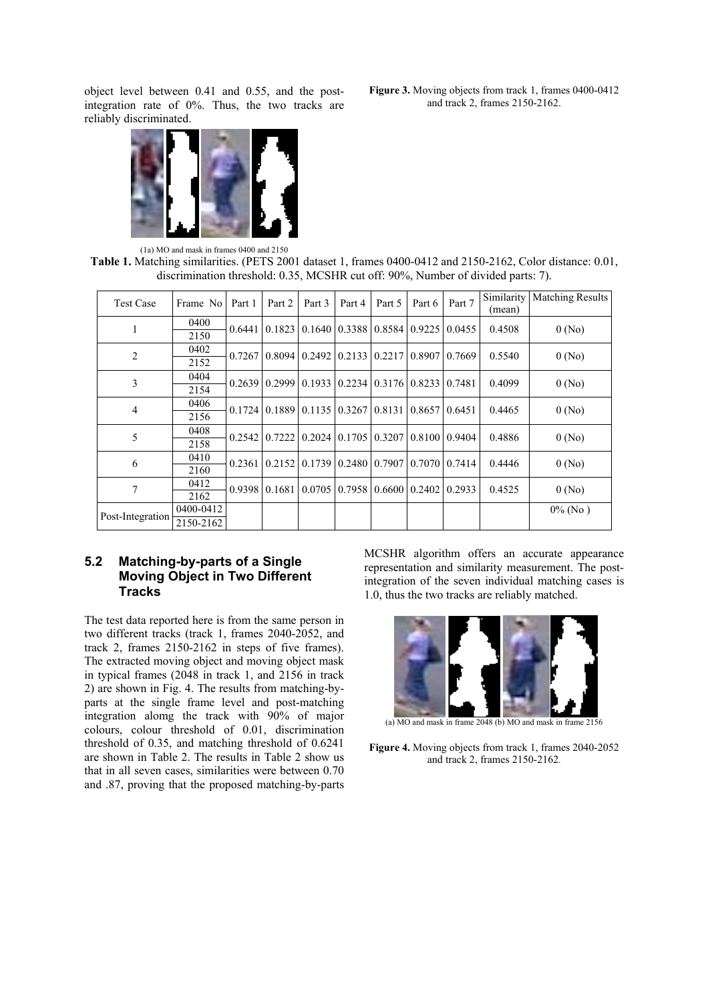object level between 0.41 and 0.55, and the postintegration rate of 0%. Thus, the two tracks are reliably discriminated.

**Figure 3.** Moving objects from track 1, frames 0400-0412 and track 2, frames 2150-2162.



(1a) MO and mask in frames 0400 and 2150

**Table 1.** Matching similarities. (PETS 2001 dataset 1, frames 0400-0412 and 2150-2162, Color distance: 0.01, discrimination threshold: 0.35, MCSHR cut off: 90%, Number of divided parts: 7).

| <b>Test Case</b> | Frame No               | Part 1 | Part 2 | Part 3                                                          | Part 4 | Part 5                            | Part 6        | Part 7 | Similarity<br>(mean) | Matching Results |
|------------------|------------------------|--------|--------|-----------------------------------------------------------------|--------|-----------------------------------|---------------|--------|----------------------|------------------|
|                  | 0400<br>2150           | 0.6441 | 0.1823 |                                                                 |        | 0.1640   0.3388   0.8584   0.9225 |               | 0.0455 | 0.4508               | 0(No)            |
| 2                | 0402<br>2152           |        |        | $0.7267$   $0.8094$   $0.2492$   $0.2133$   $0.2217$   $0.8907$ |        |                                   |               | 0.7669 | 0.5540               | 0(No)            |
| 3                | 0404                   |        |        | $0.2639$   $0.2999$   $0.1933$   $0.2234$   $0.3176$   $0.8233$ |        |                                   |               | 0.7481 | 0.4099               | 0(No)            |
| 4                | 2154<br>0406           |        |        | $0.1724$   0.1889   0.1135   0.3267   0.8131   0.8657           |        |                                   |               | 0.6451 | 0.4465               | 0(No)            |
|                  | 2156<br>0408           |        |        |                                                                 |        |                                   |               |        |                      |                  |
| 5                | 2158<br>0410           |        |        | $0.2542$   0.7222   0.2024   0.1705   0.3207                    |        |                                   | 0.8100 0.9404 |        | 0.4886               | 0(No)            |
| 6                | 2160                   |        |        | 0.2361 0.2152 0.1739 0.2480 0.7907 0.7070 0.7414                |        |                                   |               |        | 0.4446               | 0(No)            |
| 7                | 0412<br>2162           |        |        | 0.9398 0.1681 0.0705 0.7958 0.6600 0.2402                       |        |                                   |               | 0.2933 | 0.4525               | 0(No)            |
| Post-Integration | 0400-0412<br>2150-2162 |        |        |                                                                 |        |                                   |               |        |                      | $0\%$ (No)       |

#### **5.2 Matching-by-parts of a Single Moving Object in Two Different Tracks**

The test data reported here is from the same person in two different tracks (track 1, frames 2040-2052, and track 2, frames 2150-2162 in steps of five frames). The extracted moving object and moving object mask in typical frames (2048 in track 1, and 2156 in track 2) are shown in Fig. 4. The results from matching-byparts at the single frame level and post-matching integration alomg the track with 90% of major colours, colour threshold of 0.01, discrimination threshold of 0.35, and matching threshold of 0.6241 are shown in Table 2. The results in Table 2 show us that in all seven cases, similarities were between 0.70 and .87, proving that the proposed matching-by-parts MCSHR algorithm offers an accurate appearance representation and similarity measurement. The postintegration of the seven individual matching cases is 1.0, thus the two tracks are reliably matched.



(a) MO and mask in frame 2048 (b) MO and mask in frame 2156

**Figure 4.** Moving objects from track 1, frames 2040-2052 and track 2, frames 2150-2162.